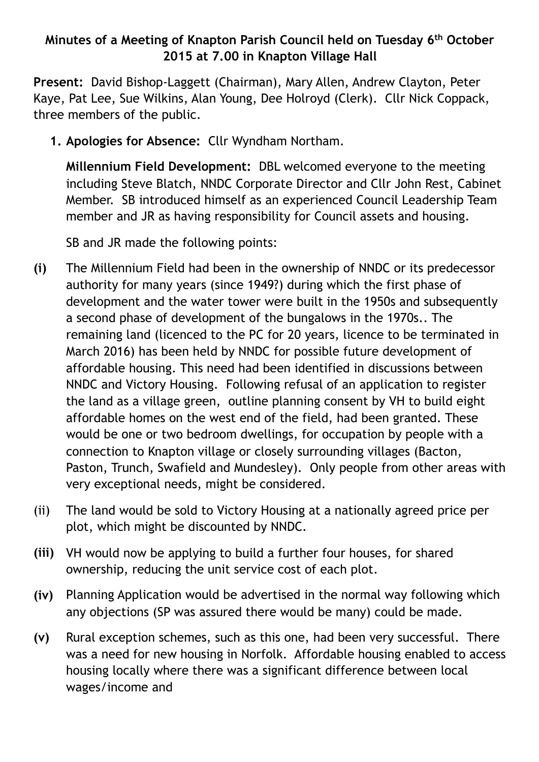## **Minutes of a Meeting of Knapton Parish Council held on Tuesday 6th October 2015 at 7.00 in Knapton Village Hall**

**Present:** David Bishop-Laggett (Chairman), Mary Allen, Andrew Clayton, Peter Kaye, Pat Lee, Sue Wilkins, Alan Young, Dee Holroyd (Clerk). Cllr Nick Coppack, three members of the public.

**1. Apologies for Absence:** Cllr Wyndham Northam.

**Millennium Field Development:** DBL welcomed everyone to the meeting including Steve Blatch, NNDC Corporate Director and Cllr John Rest, Cabinet Member. SB introduced himself as an experienced Council Leadership Team member and JR as having responsibility for Council assets and housing.

SB and JR made the following points:

- **(i)** The Millennium Field had been in the ownership of NNDC or its predecessor authority for many years (since 1949?) during which the first phase of development and the water tower were built in the 1950s and subsequently a second phase of development of the bungalows in the 1970s.. The remaining land (licenced to the PC for 20 years, licence to be terminated in March 2016) has been held by NNDC for possible future development of affordable housing. This need had been identified in discussions between NNDC and Victory Housing. Following refusal of an application to register the land as a village green, outline planning consent by VH to build eight affordable homes on the west end of the field, had been granted. These would be one or two bedroom dwellings, for occupation by people with a connection to Knapton village or closely surrounding villages (Bacton, Paston, Trunch, Swafield and Mundesley). Only people from other areas with very exceptional needs, might be considered.
- (ii) The land would be sold to Victory Housing at a nationally agreed price per plot, which might be discounted by NNDC.
- **(iii)** VH would now be applying to build a further four houses, for shared ownership, reducing the unit service cost of each plot.
- **(iv)** Planning Application would be advertised in the normal way following which any objections (SP was assured there would be many) could be made.
- **(v)** Rural exception schemes, such as this one, had been very successful. There was a need for new housing in Norfolk. Affordable housing enabled to access housing locally where there was a significant difference between local wages/income and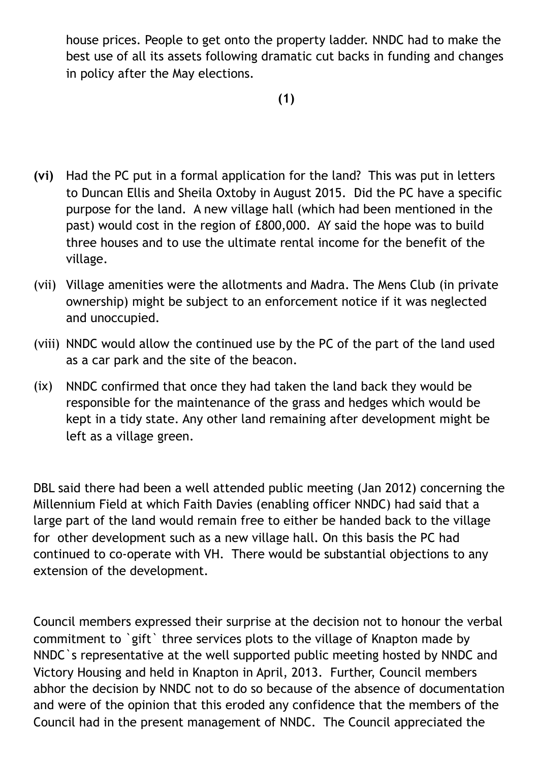house prices. People to get onto the property ladder. NNDC had to make the best use of all its assets following dramatic cut backs in funding and changes in policy after the May elections.

- **(vi)** Had the PC put in a formal application for the land? This was put in letters to Duncan Ellis and Sheila Oxtoby in August 2015. Did the PC have a specific purpose for the land. A new village hall (which had been mentioned in the past) would cost in the region of £800,000. AY said the hope was to build three houses and to use the ultimate rental income for the benefit of the village.
- (vii) Village amenities were the allotments and Madra. The Mens Club (in private ownership) might be subject to an enforcement notice if it was neglected and unoccupied.
- (viii) NNDC would allow the continued use by the PC of the part of the land used as a car park and the site of the beacon.
- (ix) NNDC confirmed that once they had taken the land back they would be responsible for the maintenance of the grass and hedges which would be kept in a tidy state. Any other land remaining after development might be left as a village green.

DBL said there had been a well attended public meeting (Jan 2012) concerning the Millennium Field at which Faith Davies (enabling officer NNDC) had said that a large part of the land would remain free to either be handed back to the village for other development such as a new village hall. On this basis the PC had continued to co-operate with VH. There would be substantial objections to any extension of the development.

Council members expressed their surprise at the decision not to honour the verbal commitment to `gift` three services plots to the village of Knapton made by NNDC`s representative at the well supported public meeting hosted by NNDC and Victory Housing and held in Knapton in April, 2013. Further, Council members abhor the decision by NNDC not to do so because of the absence of documentation and were of the opinion that this eroded any confidence that the members of the Council had in the present management of NNDC. The Council appreciated the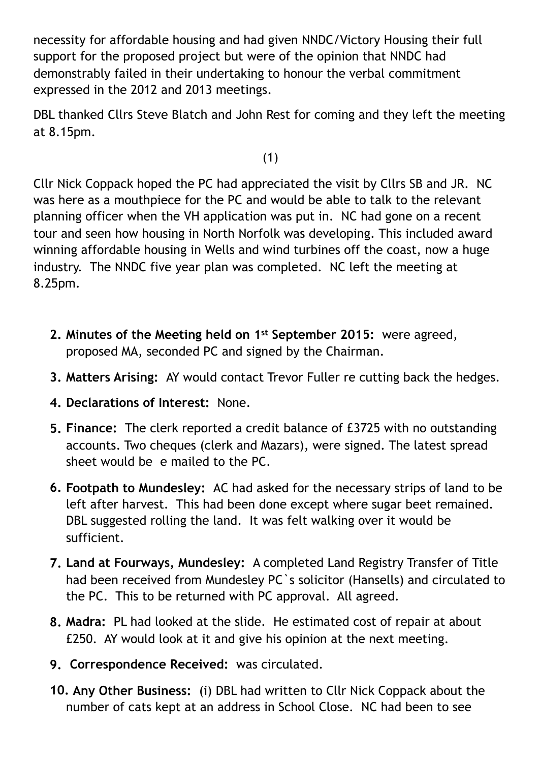necessity for affordable housing and had given NNDC/Victory Housing their full support for the proposed project but were of the opinion that NNDC had demonstrably failed in their undertaking to honour the verbal commitment expressed in the 2012 and 2013 meetings.

DBL thanked Cllrs Steve Blatch and John Rest for coming and they left the meeting at 8.15pm.

(1)

Cllr Nick Coppack hoped the PC had appreciated the visit by Cllrs SB and JR. NC was here as a mouthpiece for the PC and would be able to talk to the relevant planning officer when the VH application was put in. NC had gone on a recent tour and seen how housing in North Norfolk was developing. This included award winning affordable housing in Wells and wind turbines off the coast, now a huge industry. The NNDC five year plan was completed. NC left the meeting at 8.25pm.

- **2. Minutes of the Meeting held on 1st September 2015:** were agreed, proposed MA, seconded PC and signed by the Chairman.
- **3. Matters Arising:** AY would contact Trevor Fuller re cutting back the hedges.
- **4. Declarations of Interest:** None.
- **5. Finance:** The clerk reported a credit balance of £3725 with no outstanding accounts. Two cheques (clerk and Mazars), were signed. The latest spread sheet would be e mailed to the PC.
- **6. Footpath to Mundesley:** AC had asked for the necessary strips of land to be left after harvest. This had been done except where sugar beet remained. DBL suggested rolling the land. It was felt walking over it would be sufficient.
- **7. Land at Fourways, Mundesley:** A completed Land Registry Transfer of Title had been received from Mundesley PC`s solicitor (Hansells) and circulated to the PC. This to be returned with PC approval. All agreed.
- **8. Madra:** PL had looked at the slide. He estimated cost of repair at about £250. AY would look at it and give his opinion at the next meeting.
- **9. Correspondence Received:** was circulated.
- **10. Any Other Business:** (i) DBL had written to Cllr Nick Coppack about the number of cats kept at an address in School Close. NC had been to see